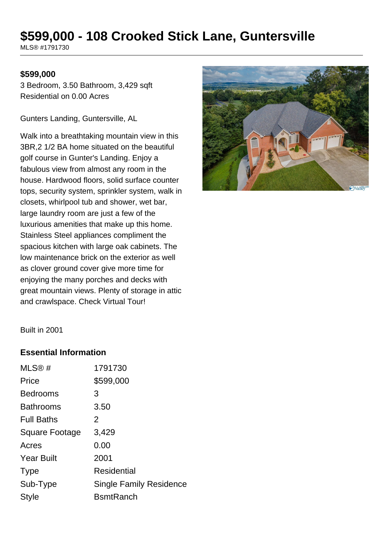# **\$599,000 - 108 Crooked Stick Lane, Guntersville**

MLS® #1791730

#### **\$599,000**

3 Bedroom, 3.50 Bathroom, 3,429 sqft Residential on 0.00 Acres

Gunters Landing, Guntersville, AL

Walk into a breathtaking mountain view in this 3BR,2 1/2 BA home situated on the beautiful golf course in Gunter's Landing. Enjoy a fabulous view from almost any room in the house. Hardwood floors, solid surface counter tops, security system, sprinkler system, walk in closets, whirlpool tub and shower, wet bar, large laundry room are just a few of the luxurious amenities that make up this home. Stainless Steel appliances compliment the spacious kitchen with large oak cabinets. The low maintenance brick on the exterior as well as clover ground cover give more time for enjoying the many porches and decks with great mountain views. Plenty of storage in attic and crawlspace. Check Virtual Tour!



Built in 2001

#### **Essential Information**

| MLS@#             | 1791730                        |
|-------------------|--------------------------------|
| Price             | \$599,000                      |
| <b>Bedrooms</b>   | 3                              |
| <b>Bathrooms</b>  | 3.50                           |
| <b>Full Baths</b> | 2                              |
| Square Footage    | 3,429                          |
| Acres             | 0.00                           |
| <b>Year Built</b> | 2001                           |
| <b>Type</b>       | Residential                    |
| Sub-Type          | <b>Single Family Residence</b> |
| Style             | <b>B</b> smtRanch              |